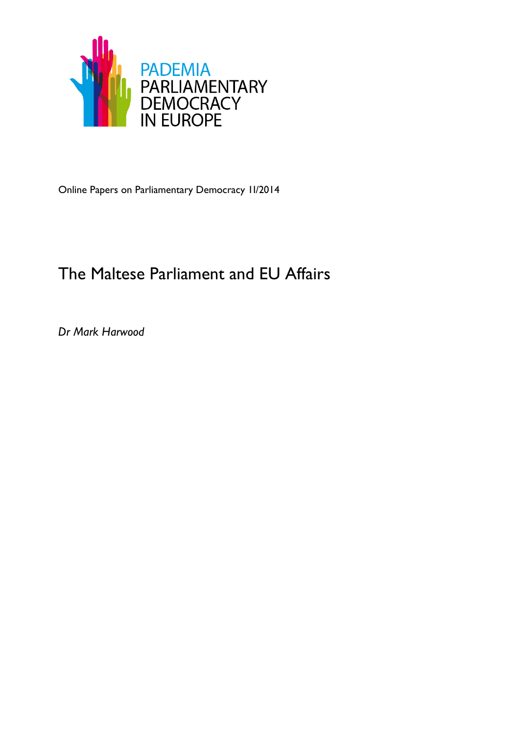

Online Papers on Parliamentary Democracy 1I/2014

# The Maltese Parliament and EU Affairs

*Dr Mark Harwood*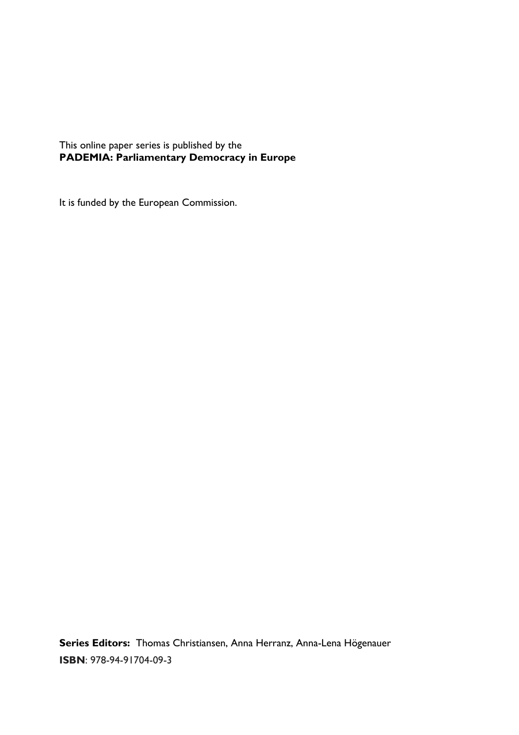This online paper series is published by the **PADEMIA: Parliamentary Democracy in Europe**

It is funded by the European Commission.

**Series Editors:** Thomas Christiansen, Anna Herranz, Anna-Lena Högenauer **ISBN**: 978-94-91704-09-3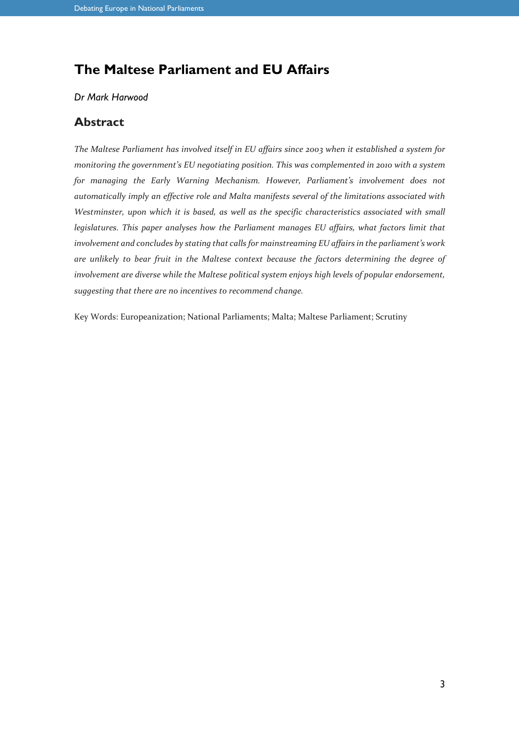# **The Maltese Parliament and EU Affairs**

#### *Dr Mark Harwood*

#### **Abstract**

*The Maltese Parliament has involved itself in EU affairs since 2003 when it established a system for monitoring the government's EU negotiating position. This was complemented in 2010 with a system for managing the Early Warning Mechanism. However, Parliament's involvement does not automatically imply an effective role and Malta manifests several of the limitations associated with Westminster, upon which it is based, as well as the specific characteristics associated with small legislatures. This paper analyses how the Parliament manages EU affairs, what factors limit that involvement and concludes by stating that calls for mainstreaming EU affairs in the parliament's work are unlikely to bear fruit in the Maltese context because the factors determining the degree of involvement are diverse while the Maltese political system enjoys high levels of popular endorsement, suggesting that there are no incentives to recommend change.* 

Key Words: Europeanization; National Parliaments; Malta; Maltese Parliament; Scrutiny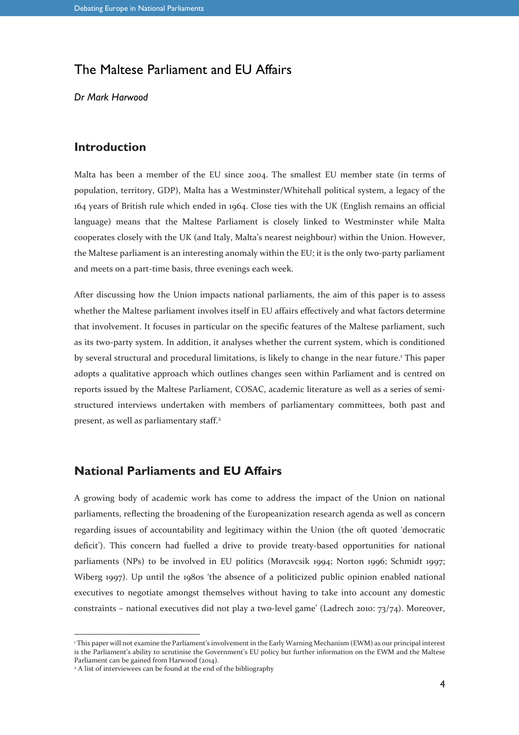# The Maltese Parliament and EU Affairs

*Dr Mark Harwood*

### **Introduction**

Malta has been a member of the EU since 2004. The smallest EU member state (in terms of population, territory, GDP), Malta has a Westminster/Whitehall political system, a legacy of the 164 years of British rule which ended in 1964. Close ties with the UK (English remains an official language) means that the Maltese Parliament is closely linked to Westminster while Malta cooperates closely with the UK (and Italy, Malta's nearest neighbour) within the Union. However, the Maltese parliament is an interesting anomaly within the EU; it is the only two-party parliament and meets on a part-time basis, three evenings each week.

After discussing how the Union impacts national parliaments, the aim of this paper is to assess whether the Maltese parliament involves itself in EU affairs effectively and what factors determine that involvement. It focuses in particular on the specific features of the Maltese parliament, such as its two-party system. In addition, it analyses whether the current system, which is conditioned by several structural and procedural limitations, is likely to change in the near future.<sup>1</sup> This paper adopts a qualitative approach which outlines changes seen within Parliament and is centred on reports issued by the Maltese Parliament, COSAC, academic literature as well as a series of semistructured interviews undertaken with members of parliamentary committees, both past and present, as well as parliamentary staff.<sup>2</sup>

## **National Parliaments and EU Affairs**

A growing body of academic work has come to address the impact of the Union on national parliaments, reflecting the broadening of the Europeanization research agenda as well as concern regarding issues of accountability and legitimacy within the Union (the oft quoted 'democratic deficit'). This concern had fuelled a drive to provide treaty-based opportunities for national parliaments (NPs) to be involved in EU politics (Moravcsik 1994; Norton 1996; Schmidt 1997; Wiberg 1997). Up until the 1980s 'the absence of a politicized public opinion enabled national executives to negotiate amongst themselves without having to take into account any domestic constraints – national executives did not play a two-level game' (Ladrech 2010: 73/74). Moreover,

 $\overline{a}$ 

<sup>1</sup> This paper will not examine the Parliament's involvement in the Early Warning Mechanism (EWM) as our principal interest is the Parliament's ability to scrutinise the Government's EU policy but further information on the EWM and the Maltese Parliament can be gained from Harwood (2014).

<sup>&</sup>lt;sup>2</sup> A list of interviewees can be found at the end of the bibliography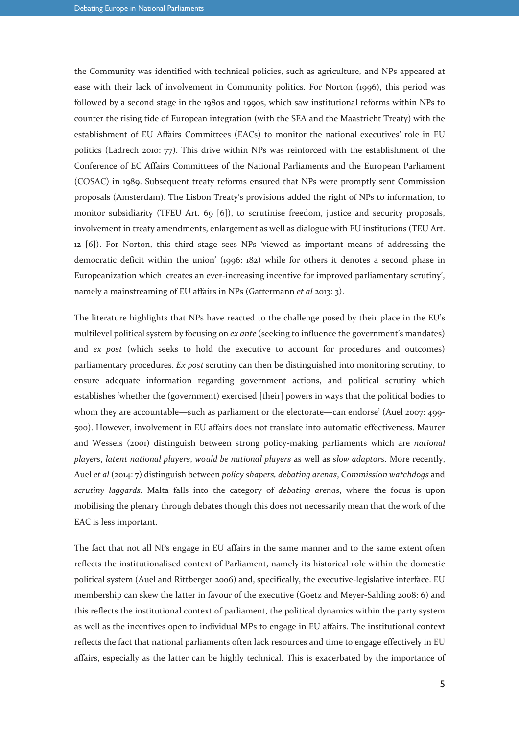the Community was identified with technical policies, such as agriculture, and NPs appeared at ease with their lack of involvement in Community politics. For Norton (1996), this period was followed by a second stage in the 1980s and 1990s, which saw institutional reforms within NPs to counter the rising tide of European integration (with the SEA and the Maastricht Treaty) with the establishment of EU Affairs Committees (EACs) to monitor the national executives' role in EU politics (Ladrech 2010: 77). This drive within NPs was reinforced with the establishment of the Conference of EC Affairs Committees of the National Parliaments and the European Parliament (COSAC) in 1989. Subsequent treaty reforms ensured that NPs were promptly sent Commission proposals (Amsterdam). The Lisbon Treaty's provisions added the right of NPs to information, to monitor subsidiarity (TFEU Art. 69 [6]), to scrutinise freedom, justice and security proposals, involvement in treaty amendments, enlargement as well as dialogue with EU institutions (TEU Art. 12 [6]). For Norton, this third stage sees NPs 'viewed as important means of addressing the democratic deficit within the union' (1996: 182) while for others it denotes a second phase in Europeanization which 'creates an ever-increasing incentive for improved parliamentary scrutiny', namely a mainstreaming of EU affairs in NPs (Gattermann *et al* 2013: 3).

The literature highlights that NPs have reacted to the challenge posed by their place in the EU's multilevel political system by focusing on *ex ante* (seeking to influence the government's mandates) and *ex post* (which seeks to hold the executive to account for procedures and outcomes) parliamentary procedures. *Ex post* scrutiny can then be distinguished into monitoring scrutiny, to ensure adequate information regarding government actions, and political scrutiny which establishes 'whether the (government) exercised [their] powers in ways that the political bodies to whom they are accountable—such as parliament or the electorate—can endorse' (Auel 2007: 499-500). However, involvement in EU affairs does not translate into automatic effectiveness. Maurer and Wessels (2001) distinguish between strong policy-making parliaments which are *national players*, *latent national players*, *would be national players* as well as *slow adaptors*. More recently, Auel *et al* (2014: 7) distinguish between *policy shapers, debating arenas*, C*ommission watchdogs* and *scrutiny laggards.* Malta falls into the category of *debating arenas*, where the focus is upon mobilising the plenary through debates though this does not necessarily mean that the work of the EAC is less important.

The fact that not all NPs engage in EU affairs in the same manner and to the same extent often reflects the institutionalised context of Parliament, namely its historical role within the domestic political system (Auel and Rittberger 2006) and, specifically, the executive-legislative interface. EU membership can skew the latter in favour of the executive (Goetz and Meyer-Sahling 2008: 6) and this reflects the institutional context of parliament, the political dynamics within the party system as well as the incentives open to individual MPs to engage in EU affairs. The institutional context reflects the fact that national parliaments often lack resources and time to engage effectively in EU affairs, especially as the latter can be highly technical. This is exacerbated by the importance of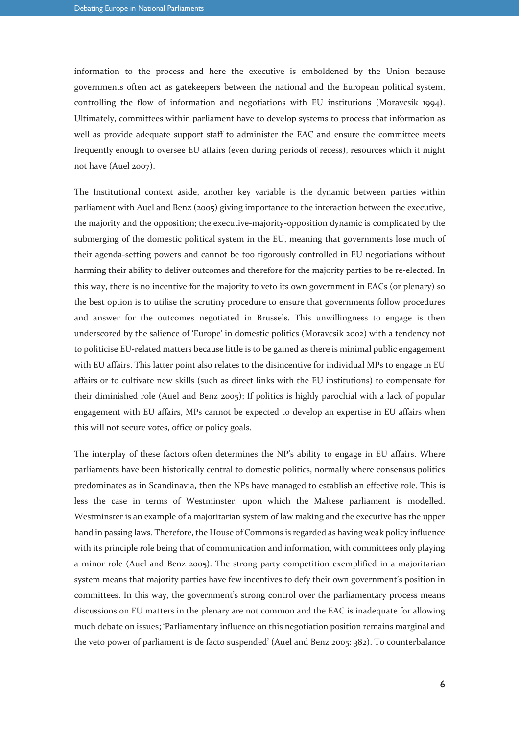information to the process and here the executive is emboldened by the Union because governments often act as gatekeepers between the national and the European political system, controlling the flow of information and negotiations with EU institutions (Moravcsik 1994). Ultimately, committees within parliament have to develop systems to process that information as well as provide adequate support staff to administer the EAC and ensure the committee meets frequently enough to oversee EU affairs (even during periods of recess), resources which it might not have (Auel 2007).

The Institutional context aside, another key variable is the dynamic between parties within parliament with Auel and Benz (2005) giving importance to the interaction between the executive, the majority and the opposition; the executive-majority-opposition dynamic is complicated by the submerging of the domestic political system in the EU, meaning that governments lose much of their agenda-setting powers and cannot be too rigorously controlled in EU negotiations without harming their ability to deliver outcomes and therefore for the majority parties to be re-elected. In this way, there is no incentive for the majority to veto its own government in EACs (or plenary) so the best option is to utilise the scrutiny procedure to ensure that governments follow procedures and answer for the outcomes negotiated in Brussels. This unwillingness to engage is then underscored by the salience of 'Europe' in domestic politics (Moravcsik 2002) with a tendency not to politicise EU-related matters because little is to be gained as there is minimal public engagement with EU affairs. This latter point also relates to the disincentive for individual MPs to engage in EU affairs or to cultivate new skills (such as direct links with the EU institutions) to compensate for their diminished role (Auel and Benz 2005); If politics is highly parochial with a lack of popular engagement with EU affairs, MPs cannot be expected to develop an expertise in EU affairs when this will not secure votes, office or policy goals.

The interplay of these factors often determines the NP's ability to engage in EU affairs. Where parliaments have been historically central to domestic politics, normally where consensus politics predominates as in Scandinavia, then the NPs have managed to establish an effective role. This is less the case in terms of Westminster, upon which the Maltese parliament is modelled. Westminster is an example of a majoritarian system of law making and the executive has the upper hand in passing laws. Therefore, the House of Commons is regarded as having weak policy influence with its principle role being that of communication and information, with committees only playing a minor role (Auel and Benz 2005). The strong party competition exemplified in a majoritarian system means that majority parties have few incentives to defy their own government's position in committees. In this way, the government's strong control over the parliamentary process means discussions on EU matters in the plenary are not common and the EAC is inadequate for allowing much debate on issues; 'Parliamentary influence on this negotiation position remains marginal and the veto power of parliament is de facto suspended' (Auel and Benz 2005: 382). To counterbalance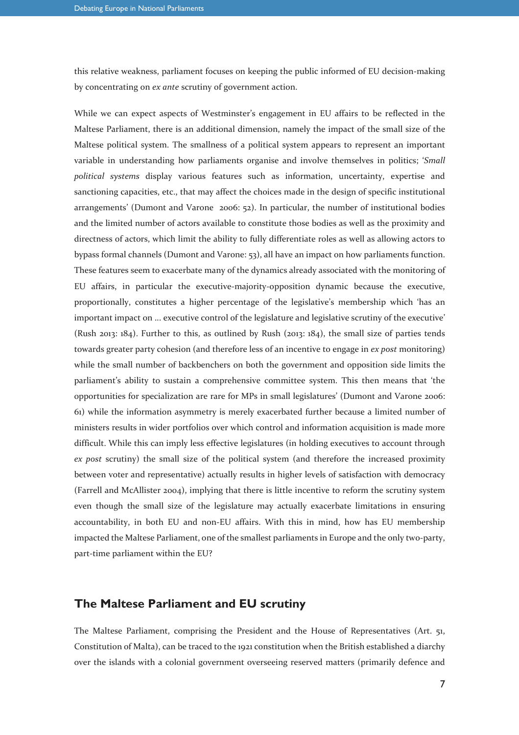this relative weakness, parliament focuses on keeping the public informed of EU decision-making by concentrating on *ex ante* scrutiny of government action.

While we can expect aspects of Westminster's engagement in EU affairs to be reflected in the Maltese Parliament, there is an additional dimension, namely the impact of the small size of the Maltese political system. The smallness of a political system appears to represent an important variable in understanding how parliaments organise and involve themselves in politics; '*Small political systems* display various features such as information, uncertainty, expertise and sanctioning capacities, etc., that may affect the choices made in the design of specific institutional arrangements' (Dumont and Varone 2006: 52). In particular, the number of institutional bodies and the limited number of actors available to constitute those bodies as well as the proximity and directness of actors, which limit the ability to fully differentiate roles as well as allowing actors to bypass formal channels (Dumont and Varone: 53), all have an impact on how parliaments function. These features seem to exacerbate many of the dynamics already associated with the monitoring of EU affairs, in particular the executive-majority-opposition dynamic because the executive, proportionally, constitutes a higher percentage of the legislative's membership which 'has an important impact on ... executive control of the legislature and legislative scrutiny of the executive' (Rush 2013: 184). Further to this, as outlined by Rush (2013: 184), the small size of parties tends towards greater party cohesion (and therefore less of an incentive to engage in *ex post* monitoring) while the small number of backbenchers on both the government and opposition side limits the parliament's ability to sustain a comprehensive committee system. This then means that 'the opportunities for specialization are rare for MPs in small legislatures' (Dumont and Varone 2006: 61) while the information asymmetry is merely exacerbated further because a limited number of ministers results in wider portfolios over which control and information acquisition is made more difficult. While this can imply less effective legislatures (in holding executives to account through *ex post* scrutiny) the small size of the political system (and therefore the increased proximity between voter and representative) actually results in higher levels of satisfaction with democracy (Farrell and McAllister 2004), implying that there is little incentive to reform the scrutiny system even though the small size of the legislature may actually exacerbate limitations in ensuring accountability, in both EU and non-EU affairs. With this in mind, how has EU membership impacted the Maltese Parliament, one of the smallest parliaments in Europe and the only two-party, part-time parliament within the EU?

#### **The Maltese Parliament and EU scrutiny**

The Maltese Parliament, comprising the President and the House of Representatives (Art. 51, Constitution of Malta), can be traced to the 1921 constitution when the British established a diarchy over the islands with a colonial government overseeing reserved matters (primarily defence and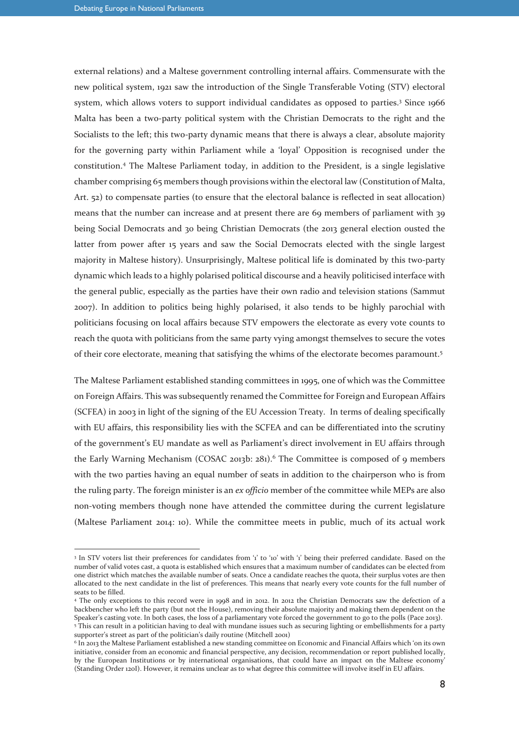$\overline{a}$ 

external relations) and a Maltese government controlling internal affairs. Commensurate with the new political system, 1921 saw the introduction of the Single Transferable Voting (STV) electoral system, which allows voters to support individual candidates as opposed to parties.<sup>3</sup> Since 1966 Malta has been a two-party political system with the Christian Democrats to the right and the Socialists to the left; this two-party dynamic means that there is always a clear, absolute majority for the governing party within Parliament while a 'loyal' Opposition is recognised under the constitution.<sup>4</sup> The Maltese Parliament today, in addition to the President, is a single legislative chamber comprising 65 members though provisions within the electoral law (Constitution of Malta, Art. 52) to compensate parties (to ensure that the electoral balance is reflected in seat allocation) means that the number can increase and at present there are 69 members of parliament with 39 being Social Democrats and 30 being Christian Democrats (the 2013 general election ousted the latter from power after 15 years and saw the Social Democrats elected with the single largest majority in Maltese history). Unsurprisingly, Maltese political life is dominated by this two-party dynamic which leads to a highly polarised political discourse and a heavily politicised interface with the general public, especially as the parties have their own radio and television stations (Sammut 2007). In addition to politics being highly polarised, it also tends to be highly parochial with politicians focusing on local affairs because STV empowers the electorate as every vote counts to reach the quota with politicians from the same party vying amongst themselves to secure the votes of their core electorate, meaning that satisfying the whims of the electorate becomes paramount.<sup>5</sup>

The Maltese Parliament established standing committees in 1995, one of which was the Committee on Foreign Affairs. This was subsequently renamed the Committee for Foreign and European Affairs (SCFEA) in 2003 in light of the signing of the EU Accession Treaty. In terms of dealing specifically with EU affairs, this responsibility lies with the SCFEA and can be differentiated into the scrutiny of the government's EU mandate as well as Parliament's direct involvement in EU affairs through the Early Warning Mechanism (COSAC 2013b: 281).<sup>6</sup> The Committee is composed of 9 members with the two parties having an equal number of seats in addition to the chairperson who is from the ruling party. The foreign minister is an *ex officio* member of the committee while MEPs are also non-voting members though none have attended the committee during the current legislature (Maltese Parliament 2014: 10). While the committee meets in public, much of its actual work

<sup>&</sup>lt;sup>3</sup> In STV voters list their preferences for candidates from 'i' to '10' with 'i' being their preferred candidate. Based on the number of valid votes cast, a quota is established which ensures that a maximum number of candidates can be elected from one district which matches the available number of seats. Once a candidate reaches the quota, their surplus votes are then allocated to the next candidate in the list of preferences. This means that nearly every vote counts for the full number of seats to be filled.

<sup>4</sup> The only exceptions to this record were in 1998 and in 2012. In 2012 the Christian Democrats saw the defection of a backbencher who left the party (but not the House), removing their absolute majority and making them dependent on the Speaker's casting vote. In both cases, the loss of a parliamentary vote forced the government to go to the polls (Pace 2013). 5 This can result in a politician having to deal with mundane issues such as securing lighting or embellishments for a party supporter's street as part of the politician's daily routine (Mitchell 2001)

<sup>6</sup> In 2013 the Maltese Parliament established a new standing committee on Economic and Financial Affairs which 'on its own initiative, consider from an economic and financial perspective, any decision, recommendation or report published locally, by the European Institutions or by international organisations, that could have an impact on the Maltese economy' (Standing Order 120I). However, it remains unclear as to what degree this committee will involve itself in EU affairs.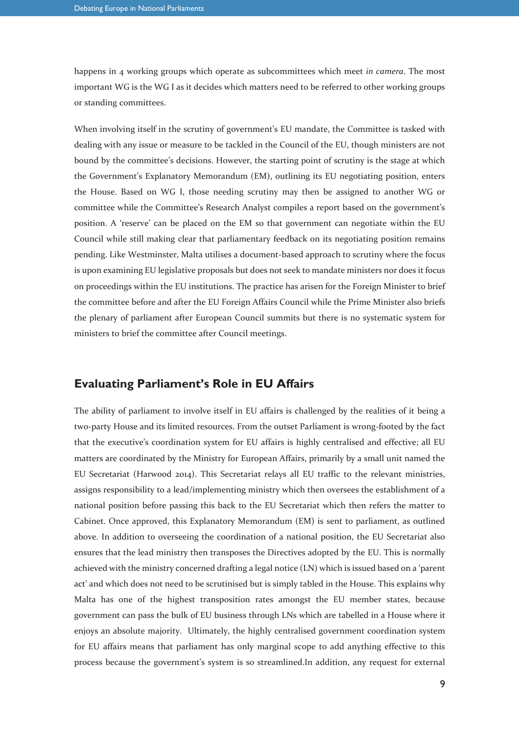happens in 4 working groups which operate as subcommittees which meet *in camera*. The most important WG is the WG I as it decides which matters need to be referred to other working groups or standing committees.

When involving itself in the scrutiny of government's EU mandate, the Committee is tasked with dealing with any issue or measure to be tackled in the Council of the EU, though ministers are not bound by the committee's decisions. However, the starting point of scrutiny is the stage at which the Government's Explanatory Memorandum (EM), outlining its EU negotiating position, enters the House. Based on WG I, those needing scrutiny may then be assigned to another WG or committee while the Committee's Research Analyst compiles a report based on the government's position. A 'reserve' can be placed on the EM so that government can negotiate within the EU Council while still making clear that parliamentary feedback on its negotiating position remains pending. Like Westminster, Malta utilises a document-based approach to scrutiny where the focus is upon examining EU legislative proposals but does not seek to mandate ministers nor does it focus on proceedings within the EU institutions. The practice has arisen for the Foreign Minister to brief the committee before and after the EU Foreign Affairs Council while the Prime Minister also briefs the plenary of parliament after European Council summits but there is no systematic system for ministers to brief the committee after Council meetings.

#### **Evaluating Parliament's Role in EU Affairs**

The ability of parliament to involve itself in EU affairs is challenged by the realities of it being a two-party House and its limited resources. From the outset Parliament is wrong-footed by the fact that the executive's coordination system for EU affairs is highly centralised and effective; all EU matters are coordinated by the Ministry for European Affairs, primarily by a small unit named the EU Secretariat (Harwood 2014). This Secretariat relays all EU traffic to the relevant ministries, assigns responsibility to a lead/implementing ministry which then oversees the establishment of a national position before passing this back to the EU Secretariat which then refers the matter to Cabinet. Once approved, this Explanatory Memorandum (EM) is sent to parliament, as outlined above. In addition to overseeing the coordination of a national position, the EU Secretariat also ensures that the lead ministry then transposes the Directives adopted by the EU. This is normally achieved with the ministry concerned drafting a legal notice (LN) which is issued based on a 'parent act' and which does not need to be scrutinised but is simply tabled in the House. This explains why Malta has one of the highest transposition rates amongst the EU member states, because government can pass the bulk of EU business through LNs which are tabelled in a House where it enjoys an absolute majority. Ultimately, the highly centralised government coordination system for EU affairs means that parliament has only marginal scope to add anything effective to this process because the government's system is so streamlined.In addition, any request for external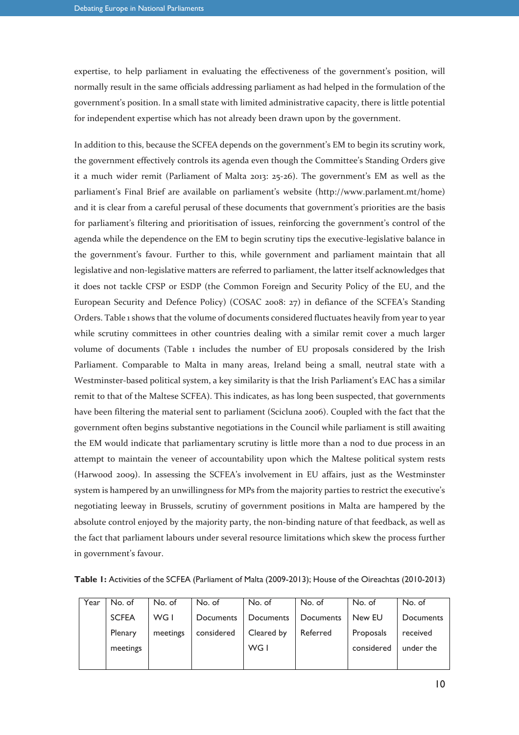expertise, to help parliament in evaluating the effectiveness of the government's position, will normally result in the same officials addressing parliament as had helped in the formulation of the government's position. In a small state with limited administrative capacity, there is little potential for independent expertise which has not already been drawn upon by the government.

In addition to this, because the SCFEA depends on the government's EM to begin its scrutiny work, the government effectively controls its agenda even though the Committee's Standing Orders give it a much wider remit (Parliament of Malta 2013: 25-26). The government's EM as well as the parliament's Final Brief are available on parliament's website (http://www.parlament.mt/home) and it is clear from a careful perusal of these documents that government's priorities are the basis for parliament's filtering and prioritisation of issues, reinforcing the government's control of the agenda while the dependence on the EM to begin scrutiny tips the executive-legislative balance in the government's favour. Further to this, while government and parliament maintain that all legislative and non-legislative matters are referred to parliament, the latter itself acknowledges that it does not tackle CFSP or ESDP (the Common Foreign and Security Policy of the EU, and the European Security and Defence Policy) (COSAC 2008: 27) in defiance of the SCFEA's Standing Orders. Table 1 shows that the volume of documents considered fluctuates heavily from year to year while scrutiny committees in other countries dealing with a similar remit cover a much larger volume of documents (Table 1 includes the number of EU proposals considered by the Irish Parliament. Comparable to Malta in many areas, Ireland being a small, neutral state with a Westminster-based political system, a key similarity is that the Irish Parliament's EAC has a similar remit to that of the Maltese SCFEA). This indicates, as has long been suspected, that governments have been filtering the material sent to parliament (Scicluna 2006). Coupled with the fact that the government often begins substantive negotiations in the Council while parliament is still awaiting the EM would indicate that parliamentary scrutiny is little more than a nod to due process in an attempt to maintain the veneer of accountability upon which the Maltese political system rests (Harwood 2009). In assessing the SCFEA's involvement in EU affairs, just as the Westminster system is hampered by an unwillingness for MPs from the majority parties to restrict the executive's negotiating leeway in Brussels, scrutiny of government positions in Malta are hampered by the absolute control enjoyed by the majority party, the non-binding nature of that feedback, as well as the fact that parliament labours under several resource limitations which skew the process further in government's favour.

| Table 1: Activities of the SCFEA (Parliament of Malta (2009-2013); House of the Oireachtas (2010-2013) |  |  |  |  |
|--------------------------------------------------------------------------------------------------------|--|--|--|--|
|--------------------------------------------------------------------------------------------------------|--|--|--|--|

| Year    | No. of       | No. of   | No. of     | No. of     | No. of    | No. of     | No. of    |
|---------|--------------|----------|------------|------------|-----------|------------|-----------|
|         | <b>SCFEA</b> | WG I     | Documents  | Documents  | Documents | New EU     | Documents |
| Plenary |              | meetings | considered | Cleared by | Referred  | Proposals  | received  |
|         | meetings     |          |            | WG I       |           | considered | under the |
|         |              |          |            |            |           |            |           |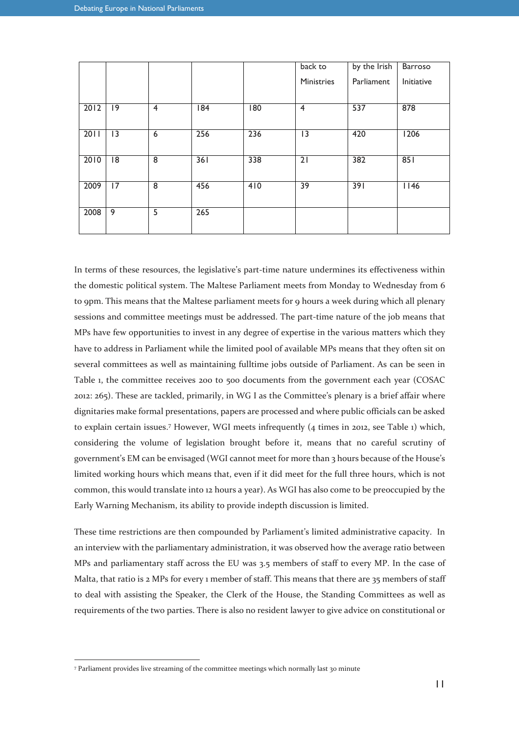|      |                 |                |     |                  | back to         | by the Irish | Barroso    |
|------|-----------------|----------------|-----|------------------|-----------------|--------------|------------|
|      |                 |                |     |                  | Ministries      | Parliament   | Initiative |
|      |                 |                |     |                  |                 |              |            |
| 2012 | $ 9\rangle$     | $\overline{4}$ | 84  | $\overline{180}$ | $\overline{4}$  | 537          | 878        |
|      |                 |                |     |                  |                 |              |            |
| 2011 | $\overline{13}$ | 6              | 256 | 236              | 3               | 420          | 1206       |
|      |                 |                |     |                  |                 |              |            |
| 2010 | 18              | $\overline{8}$ | 361 | 338              | $\overline{21}$ | 382          | 851        |
|      |                 |                |     |                  |                 |              |            |
| 2009 | 17              | 8              | 456 | 410              | $\overline{39}$ | 391          | 1146       |
|      |                 |                |     |                  |                 |              |            |
| 2008 | 9               | 5              | 265 |                  |                 |              |            |
|      |                 |                |     |                  |                 |              |            |

In terms of these resources, the legislative's part-time nature undermines its effectiveness within the domestic political system. The Maltese Parliament meets from Monday to Wednesday from 6 to 9pm. This means that the Maltese parliament meets for 9 hours a week during which all plenary sessions and committee meetings must be addressed. The part-time nature of the job means that MPs have few opportunities to invest in any degree of expertise in the various matters which they have to address in Parliament while the limited pool of available MPs means that they often sit on several committees as well as maintaining fulltime jobs outside of Parliament. As can be seen in Table 1, the committee receives 200 to 500 documents from the government each year (COSAC 2012: 265). These are tackled, primarily, in WG I as the Committee's plenary is a brief affair where dignitaries make formal presentations, papers are processed and where public officials can be asked to explain certain issues.<sup>7</sup> However, WGI meets infrequently (4 times in 2012, see Table 1) which, considering the volume of legislation brought before it, means that no careful scrutiny of government's EM can be envisaged (WGI cannot meet for more than 3 hours because of the House's limited working hours which means that, even if it did meet for the full three hours, which is not common, this would translate into 12 hours a year). As WGI has also come to be preoccupied by the Early Warning Mechanism, its ability to provide indepth discussion is limited.

These time restrictions are then compounded by Parliament's limited administrative capacity. In an interview with the parliamentary administration, it was observed how the average ratio between MPs and parliamentary staff across the EU was 3.5 members of staff to every MP. In the case of Malta, that ratio is 2 MPs for every 1 member of staff. This means that there are 35 members of staff to deal with assisting the Speaker, the Clerk of the House, the Standing Committees as well as requirements of the two parties. There is also no resident lawyer to give advice on constitutional or

 $\overline{a}$ 

<sup>7</sup> Parliament provides live streaming of the committee meetings which normally last 30 minute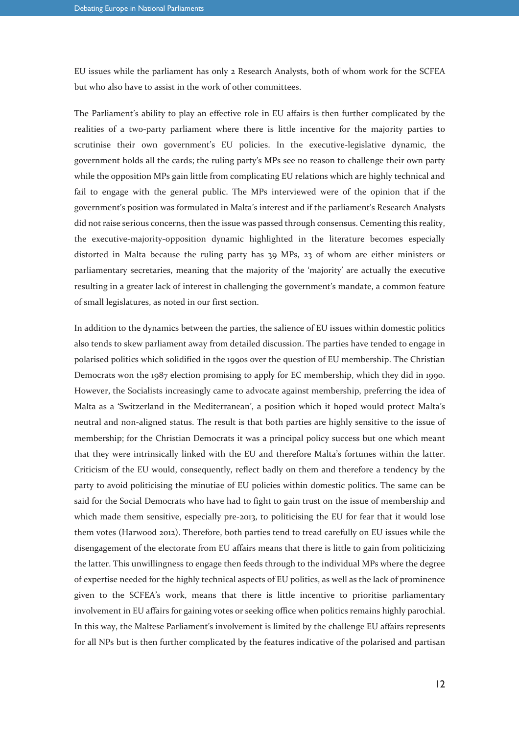EU issues while the parliament has only 2 Research Analysts, both of whom work for the SCFEA but who also have to assist in the work of other committees.

The Parliament's ability to play an effective role in EU affairs is then further complicated by the realities of a two-party parliament where there is little incentive for the majority parties to scrutinise their own government's EU policies. In the executive-legislative dynamic, the government holds all the cards; the ruling party's MPs see no reason to challenge their own party while the opposition MPs gain little from complicating EU relations which are highly technical and fail to engage with the general public. The MPs interviewed were of the opinion that if the government's position was formulated in Malta's interest and if the parliament's Research Analysts did not raise serious concerns, then the issue was passed through consensus. Cementing this reality, the executive-majority-opposition dynamic highlighted in the literature becomes especially distorted in Malta because the ruling party has 39 MPs, 23 of whom are either ministers or parliamentary secretaries, meaning that the majority of the 'majority' are actually the executive resulting in a greater lack of interest in challenging the government's mandate, a common feature of small legislatures, as noted in our first section.

In addition to the dynamics between the parties, the salience of EU issues within domestic politics also tends to skew parliament away from detailed discussion. The parties have tended to engage in polarised politics which solidified in the 1990s over the question of EU membership. The Christian Democrats won the 1987 election promising to apply for EC membership, which they did in 1990. However, the Socialists increasingly came to advocate against membership, preferring the idea of Malta as a 'Switzerland in the Mediterranean', a position which it hoped would protect Malta's neutral and non-aligned status. The result is that both parties are highly sensitive to the issue of membership; for the Christian Democrats it was a principal policy success but one which meant that they were intrinsically linked with the EU and therefore Malta's fortunes within the latter. Criticism of the EU would, consequently, reflect badly on them and therefore a tendency by the party to avoid politicising the minutiae of EU policies within domestic politics. The same can be said for the Social Democrats who have had to fight to gain trust on the issue of membership and which made them sensitive, especially pre-2013, to politicising the EU for fear that it would lose them votes (Harwood 2012). Therefore, both parties tend to tread carefully on EU issues while the disengagement of the electorate from EU affairs means that there is little to gain from politicizing the latter. This unwillingness to engage then feeds through to the individual MPs where the degree of expertise needed for the highly technical aspects of EU politics, as well as the lack of prominence given to the SCFEA's work, means that there is little incentive to prioritise parliamentary involvement in EU affairs for gaining votes or seeking office when politics remains highly parochial. In this way, the Maltese Parliament's involvement is limited by the challenge EU affairs represents for all NPs but is then further complicated by the features indicative of the polarised and partisan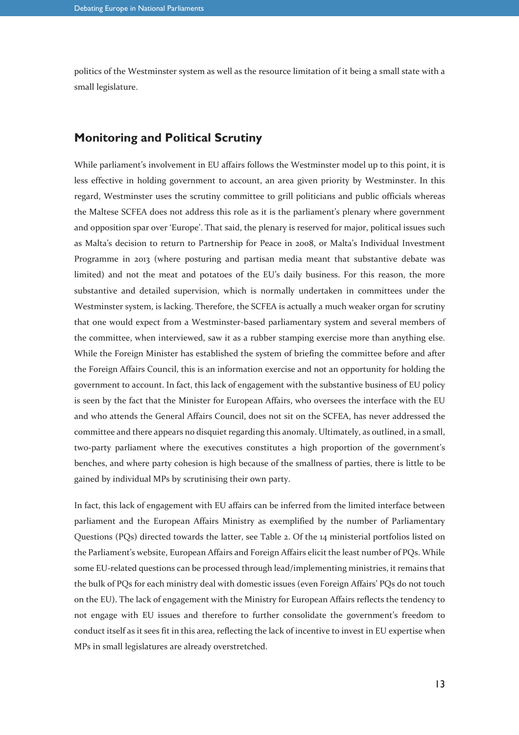politics of the Westminster system as well as the resource limitation of it being a small state with a small legislature.

#### **Monitoring and Political Scrutiny**

While parliament's involvement in EU affairs follows the Westminster model up to this point, it is less effective in holding government to account, an area given priority by Westminster. In this regard, Westminster uses the scrutiny committee to grill politicians and public officials whereas the Maltese SCFEA does not address this role as it is the parliament's plenary where government and opposition spar over 'Europe'. That said, the plenary is reserved for major, political issues such as Malta's decision to return to Partnership for Peace in 2008, or Malta's Individual Investment Programme in 2013 (where posturing and partisan media meant that substantive debate was limited) and not the meat and potatoes of the EU's daily business. For this reason, the more substantive and detailed supervision, which is normally undertaken in committees under the Westminster system, is lacking. Therefore, the SCFEA is actually a much weaker organ for scrutiny that one would expect from a Westminster-based parliamentary system and several members of the committee, when interviewed, saw it as a rubber stamping exercise more than anything else. While the Foreign Minister has established the system of briefing the committee before and after the Foreign Affairs Council, this is an information exercise and not an opportunity for holding the government to account. In fact, this lack of engagement with the substantive business of EU policy is seen by the fact that the Minister for European Affairs, who oversees the interface with the EU and who attends the General Affairs Council, does not sit on the SCFEA, has never addressed the committee and there appears no disquiet regarding this anomaly. Ultimately, as outlined, in a small, two-party parliament where the executives constitutes a high proportion of the government's benches, and where party cohesion is high because of the smallness of parties, there is little to be gained by individual MPs by scrutinising their own party.

In fact, this lack of engagement with EU affairs can be inferred from the limited interface between parliament and the European Affairs Ministry as exemplified by the number of Parliamentary Questions (PQs) directed towards the latter, see Table 2. Of the 14 ministerial portfolios listed on the Parliament's website, European Affairs and Foreign Affairs elicit the least number of PQs. While some EU-related questions can be processed through lead/implementing ministries, it remains that the bulk of PQs for each ministry deal with domestic issues (even Foreign Affairs' PQs do not touch on the EU). The lack of engagement with the Ministry for European Affairs reflects the tendency to not engage with EU issues and therefore to further consolidate the government's freedom to conduct itself as it sees fit in this area, reflecting the lack of incentive to invest in EU expertise when MPs in small legislatures are already overstretched.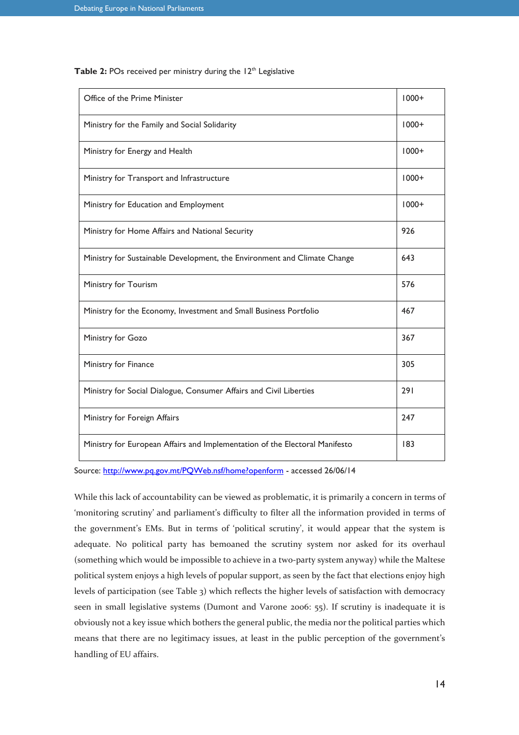| Office of the Prime Minister                                                |         |  |  |  |  |
|-----------------------------------------------------------------------------|---------|--|--|--|--|
| Ministry for the Family and Social Solidarity                               |         |  |  |  |  |
| Ministry for Energy and Health                                              | $1000+$ |  |  |  |  |
| Ministry for Transport and Infrastructure                                   | $1000+$ |  |  |  |  |
| Ministry for Education and Employment                                       | $1000+$ |  |  |  |  |
| Ministry for Home Affairs and National Security                             | 926     |  |  |  |  |
| Ministry for Sustainable Development, the Environment and Climate Change    | 643     |  |  |  |  |
| Ministry for Tourism                                                        | 576     |  |  |  |  |
| Ministry for the Economy, Investment and Small Business Portfolio           | 467     |  |  |  |  |
| Ministry for Gozo                                                           | 367     |  |  |  |  |
| Ministry for Finance                                                        | 305     |  |  |  |  |
| Ministry for Social Dialogue, Consumer Affairs and Civil Liberties          | 291     |  |  |  |  |
| Ministry for Foreign Affairs                                                | 247     |  |  |  |  |
| Ministry for European Affairs and Implementation of the Electoral Manifesto | 183     |  |  |  |  |

Table 2: POs received per ministry during the 12<sup>th</sup> Legislative

Source: http://www.pq.gov.mt/PQWeb.nsf/home?openform - accessed 26/06/14

While this lack of accountability can be viewed as problematic, it is primarily a concern in terms of 'monitoring scrutiny' and parliament's difficulty to filter all the information provided in terms of the government's EMs. But in terms of 'political scrutiny', it would appear that the system is adequate. No political party has bemoaned the scrutiny system nor asked for its overhaul (something which would be impossible to achieve in a two-party system anyway) while the Maltese political system enjoys a high levels of popular support, as seen by the fact that elections enjoy high levels of participation (see Table 3) which reflects the higher levels of satisfaction with democracy seen in small legislative systems (Dumont and Varone 2006: 55). If scrutiny is inadequate it is obviously not a key issue which bothers the general public, the media nor the political parties which means that there are no legitimacy issues, at least in the public perception of the government's handling of EU affairs.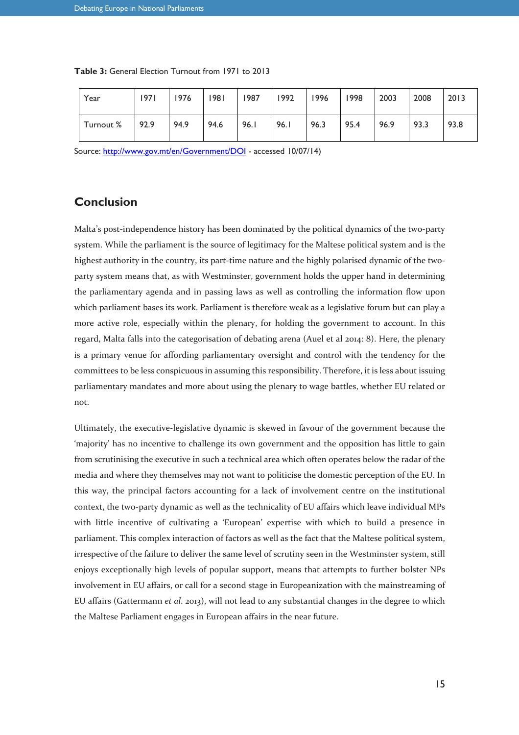| Year      | 1971 | 1976 | 1981 | 1987 | 1992 | 1996 | 1998 | 2003 | 2008 | 2013 |
|-----------|------|------|------|------|------|------|------|------|------|------|
| Turnout % | 92.9 | 94.9 | 94.6 | 96.I | 96.1 | 96.3 | 95.4 | 96.9 | 93.3 | 93.8 |

| <b>Table 3:</b> General Election Turnout from 1971 to 2013 |  |  |
|------------------------------------------------------------|--|--|
|------------------------------------------------------------|--|--|

Source: http://www.gov.mt/en/Government/DOI - accessed 10/07/14)

### **Conclusion**

Malta's post-independence history has been dominated by the political dynamics of the two-party system. While the parliament is the source of legitimacy for the Maltese political system and is the highest authority in the country, its part-time nature and the highly polarised dynamic of the twoparty system means that, as with Westminster, government holds the upper hand in determining the parliamentary agenda and in passing laws as well as controlling the information flow upon which parliament bases its work. Parliament is therefore weak as a legislative forum but can play a more active role, especially within the plenary, for holding the government to account. In this regard, Malta falls into the categorisation of debating arena (Auel et al 2014: 8). Here, the plenary is a primary venue for affording parliamentary oversight and control with the tendency for the committees to be less conspicuous in assuming this responsibility. Therefore, it is less about issuing parliamentary mandates and more about using the plenary to wage battles, whether EU related or not.

Ultimately, the executive-legislative dynamic is skewed in favour of the government because the 'majority' has no incentive to challenge its own government and the opposition has little to gain from scrutinising the executive in such a technical area which often operates below the radar of the media and where they themselves may not want to politicise the domestic perception of the EU. In this way, the principal factors accounting for a lack of involvement centre on the institutional context, the two-party dynamic as well as the technicality of EU affairs which leave individual MPs with little incentive of cultivating a 'European' expertise with which to build a presence in parliament. This complex interaction of factors as well as the fact that the Maltese political system, irrespective of the failure to deliver the same level of scrutiny seen in the Westminster system, still enjoys exceptionally high levels of popular support, means that attempts to further bolster NPs involvement in EU affairs, or call for a second stage in Europeanization with the mainstreaming of EU affairs (Gattermann *et al*. 2013), will not lead to any substantial changes in the degree to which the Maltese Parliament engages in European affairs in the near future.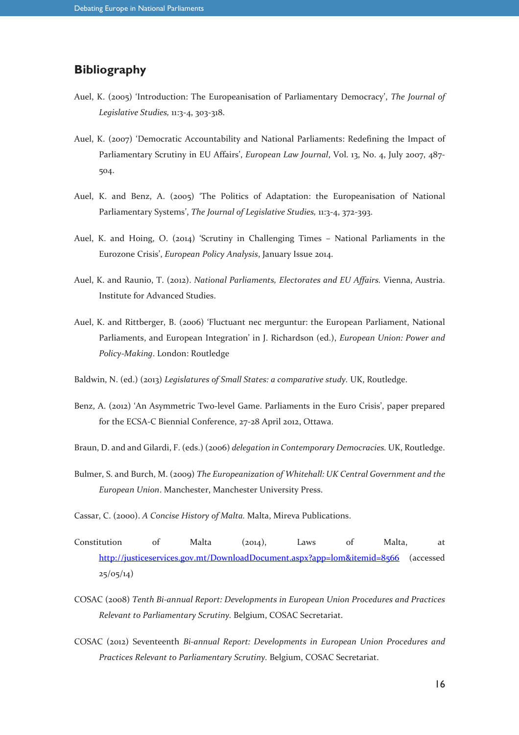### **Bibliography**

- Auel, K. (2005) 'Introduction: The Europeanisation of Parliamentary Democracy', *The Journal of Legislative Studies,* 11:3-4, 303-318.
- Auel, K. (2007) 'Democratic Accountability and National Parliaments: Redefining the Impact of Parliamentary Scrutiny in EU Affairs', *European Law Journal*, Vol. 13, No. 4, July 2007, 487- 504.
- Auel, K. and Benz, A. (2005) 'The Politics of Adaptation: the Europeanisation of National Parliamentary Systems', *The Journal of Legislative Studies,* 11:3-4, 372-393.
- Auel, K. and Hoing, O. (2014) 'Scrutiny in Challenging Times National Parliaments in the Eurozone Crisis', *European Policy Analysis*, January Issue 2014.
- Auel, K. and Raunio, T. (2012). *National Parliaments, Electorates and EU Affairs.* Vienna, Austria. Institute for Advanced Studies.
- Auel, K. and Rittberger, B. (2006) 'Fluctuant nec merguntur: the European Parliament, National Parliaments, and European Integration' in J. Richardson (ed.), *European Union: Power and Policy-Making*. London: Routledge
- Baldwin, N. (ed.) (2013) *Legislatures of Small States: a comparative study.* UK, Routledge.
- Benz, A. (2012) 'An Asymmetric Two-level Game. Parliaments in the Euro Crisis', paper prepared for the ECSA-C Biennial Conference, 27-28 April 2012, Ottawa.
- Braun, D. and and Gilardi, F. (eds.) (2006) *delegation in Contemporary Democracies.* UK, Routledge.
- Bulmer, S. and Burch, M. (2009) *The Europeanization of Whitehall: UK Central Government and the European Union*. Manchester, Manchester University Press.
- Cassar, C. (2000). *A Concise History of Malta.* Malta, Mireva Publications.
- Constitution of Malta (2014), Laws of Malta, at http://justiceservices.gov.mt/DownloadDocument.aspx?app=lom&itemid=8566 (accessed  $25/05/14)$
- COSAC (2008) *Tenth Bi-annual Report: Developments in European Union Procedures and Practices Relevant to Parliamentary Scrutiny.* Belgium, COSAC Secretariat.
- COSAC (2012) Seventeenth *Bi-annual Report: Developments in European Union Procedures and Practices Relevant to Parliamentary Scrutiny.* Belgium, COSAC Secretariat.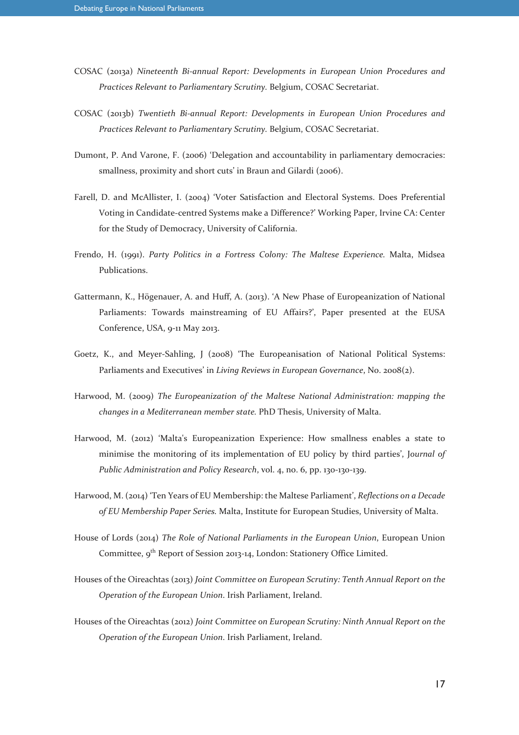- COSAC (2013a) *Nineteenth Bi-annual Report: Developments in European Union Procedures and Practices Relevant to Parliamentary Scrutiny.* Belgium, COSAC Secretariat.
- COSAC (2013b) *Twentieth Bi-annual Report: Developments in European Union Procedures and Practices Relevant to Parliamentary Scrutiny.* Belgium, COSAC Secretariat.
- Dumont, P. And Varone, F. (2006) 'Delegation and accountability in parliamentary democracies: smallness, proximity and short cuts' in Braun and Gilardi (2006).
- Farell, D. and McAllister, I. (2004) 'Voter Satisfaction and Electoral Systems. Does Preferential Voting in Candidate-centred Systems make a Difference?' Working Paper, Irvine CA: Center for the Study of Democracy, University of California.
- Frendo, H. (1991). *Party Politics in a Fortress Colony: The Maltese Experience.* Malta, Midsea Publications.
- Gattermann, K., Högenauer, A. and Huff, A. (2013). 'A New Phase of Europeanization of National Parliaments: Towards mainstreaming of EU Affairs?', Paper presented at the EUSA Conference, USA, 9-11 May 2013.
- Goetz, K., and Meyer-Sahling, J (2008) 'The Europeanisation of National Political Systems: Parliaments and Executives' in *Living Reviews in European Governance*, No. 2008(2).
- Harwood, M. (2009) *The Europeanization of the Maltese National Administration: mapping the changes in a Mediterranean member state.* PhD Thesis, University of Malta.
- Harwood, M. (2012) 'Malta's Europeanization Experience: How smallness enables a state to minimise the monitoring of its implementation of EU policy by third parties', J*ournal of Public Administration and Policy Research*, vol. 4, no. 6, pp. 130-130-139.
- Harwood, M. (2014) 'Ten Years of EU Membership: the Maltese Parliament', *Reflections on a Decade of EU Membership Paper Series.* Malta, Institute for European Studies, University of Malta.
- House of Lords (2014) *The Role of National Parliaments in the European Union*, European Union Committee, 9<sup>th</sup> Report of Session 2013-14, London: Stationery Office Limited.
- Houses of the Oireachtas (2013) *Joint Committee on European Scrutiny: Tenth Annual Report on the Operation of the European Union*. Irish Parliament, Ireland.
- Houses of the Oireachtas (2012) *Joint Committee on European Scrutiny: Ninth Annual Report on the Operation of the European Union*. Irish Parliament, Ireland.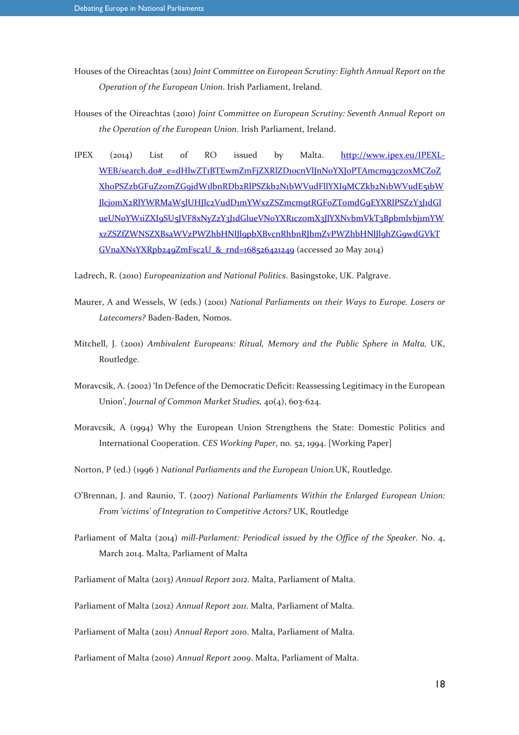- Houses of the Oireachtas (2011) *Joint Committee on European Scrutiny: Eighth Annual Report on the Operation of the European Union*. Irish Parliament, Ireland.
- Houses of the Oireachtas (2010) *Joint Committee on European Scrutiny: Seventh Annual Report on the Operation of the European Union*. Irish Parliament, Ireland.
- IPEX (2014) List of RO issued by Malta. http://www.ipex.eu/IPEXL-WEB/search.do#\_e=dHlwZT1BTEwmZmFjZXRlZD10cnVlJnN0YXJ0PTAmcm93cz0xMCZ0Z Xh0PSZzbGFuZz0mZG9jdW1lbnRDb2RlPSZkb2N1bWVudFllYXI9MCZkb2N1bWVudE51bW JlcjomX2RlYWRMaW5lUHJlc2VudD1mYWxzZSZmcm9tRGF0ZTomdG9EYXRlPSZzY3J1dGl ueUNoYWiiZXI9SU5JVF8xNyZzY3J1dGlueVNoYXR1czomX3JlYXNvbmVkT3Bpbmlvbj1mYW xzZSZfZWNSZXBsaWVzPWZhbHNlJl9pbXBvcnRhbnRJbmZvPWZhbHNlJl9hZG9wdGVkT GVnaXNsYXRpb249ZmFsc2U & rnd=168526421249 (accessed 20 May 2014)
- Ladrech, R. (2010) *Europeanization and National Politics*. Basingstoke, UK. Palgrave.
- Maurer, A and Wessels, W (eds.) (2001) *National Parliaments on their Ways to Europe. Losers or Latecomers?* Baden-Baden, Nomos.
- Mitchell, J. (2001) *Ambivalent Europeans: Ritual, Memory and the Public Sphere in Malta,* UK, Routledge.
- Moravcsik, A. (2002) 'In Defence of the Democratic Deficit: Reassessing Legitimacy in the European Union', *Journal of Common Market Studies,* 40(4), 603-624.
- Moravcsik, A (1994) Why the European Union Strengthens the State: Domestic Politics and International Cooperation. *CES Working Paper*, no. 52, 1994. [Working Paper]
- Norton, P (ed.) (1996 ) *National Parliaments and the European Union.*UK, Routledge*.*
- O'Brennan, J. and Raunio, T. (2007) *National Parliaments Within the Enlarged European Union: From 'victims' of Integration to Competitive Actors?* UK, Routledge
- Parliament of Malta (2014) *mill-Parlament: Periodical issued by the Office of the Speaker*. No. 4, March 2014. Malta, Parliament of Malta
- Parliament of Malta (2013) *Annual Report 2012*. Malta, Parliament of Malta.
- Parliament of Malta (2012) *Annual Report 2011*. Malta, Parliament of Malta.

Parliament of Malta (2011) *Annual Report 2010*. Malta, Parliament of Malta.

Parliament of Malta (2010) *Annual Report 2009*. Malta, Parliament of Malta.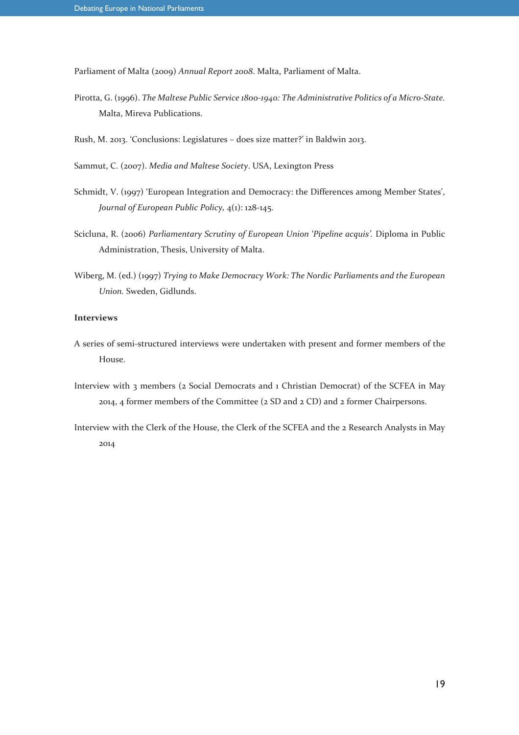Parliament of Malta (2009) *Annual Report 2008*. Malta, Parliament of Malta.

- Pirotta, G. (1996). *The Maltese Public Service 1800-1940: The Administrative Politics of a Micro-State.*  Malta, Mireva Publications.
- Rush, M. 2013. 'Conclusions: Legislatures does size matter?' in Baldwin 2013.
- Sammut, C. (2007). *Media and Maltese Society*. USA, Lexington Press
- Schmidt, V. (1997) 'European Integration and Democracy: the Differences among Member States', *Journal of European Public Policy,* 4(1): 128-145.
- Scicluna, R. (2006) *Parliamentary Scrutiny of European Union 'Pipeline acquis'.* Diploma in Public Administration, Thesis, University of Malta.
- Wiberg, M. (ed.) (1997) *Trying to Make Democracy Work: The Nordic Parliaments and the European Union.* Sweden, Gidlunds.

#### **Interviews**

- A series of semi-structured interviews were undertaken with present and former members of the House.
- Interview with 3 members (2 Social Democrats and 1 Christian Democrat) of the SCFEA in May 2014, 4 former members of the Committee (2 SD and 2 CD) and 2 former Chairpersons.
- Interview with the Clerk of the House, the Clerk of the SCFEA and the 2 Research Analysts in May 2014